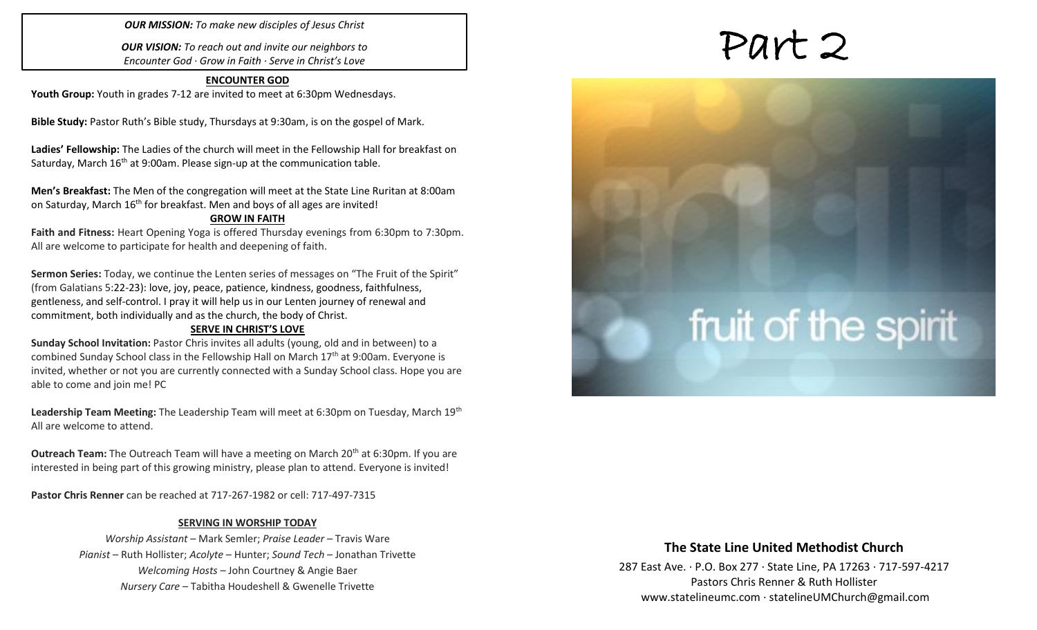### *OUR MISSION: To make new disciples of Jesus Christ*

*OUR VISION: To reach out and invite our neighbors to Encounter God · Grow in Faith · Serve in Christ's Love*

# **ENCOUNTER GOD Youth Group:** Youth in grades 7-12 are invited to meet at 6:30pm Wednesdays.

**Bible Study:** Pastor Ruth's Bible study, Thursdays at 9:30am, is on the gospel of Mark.

**Ladies' Fellowship:** The Ladies of the church will meet in the Fellowship Hall for breakfast on Saturday, March 16<sup>th</sup> at 9:00am. Please sign-up at the communication table.

**Men's Breakfast:** The Men of the congregation will meet at the State Line Ruritan at 8:00am on Saturday, March 16<sup>th</sup> for breakfast. Men and boys of all ages are invited!

### **GROW IN FAITH**

**Faith and Fitness:** Heart Opening Yoga is offered Thursday evenings from 6:30pm to 7:30pm. All are welcome to participate for health and deepening of faith.

**Sermon Series:** Today, we continue the Lenten series of messages on "The Fruit of the Spirit" (from Galatians 5:22-23): love, joy, peace, patience, kindness, goodness, faithfulness, gentleness, and self-control. I pray it will help us in our Lenten journey of renewal and commitment, both individually and as the church, the body of Christ.

### **SERVE IN CHRIST'S LOVE**

**Sunday School Invitation:** Pastor Chris invites all adults (young, old and in between) to a combined Sunday School class in the Fellowship Hall on March 17<sup>th</sup> at 9:00am. Everyone is invited, whether or not you are currently connected with a Sunday School class. Hope you are able to come and join me! PC

Leadership Team Meeting: The Leadership Team will meet at 6:30pm on Tuesday, March 19<sup>th</sup> All are welcome to attend.

**Outreach Team:** The Outreach Team will have a meeting on March 20<sup>th</sup> at 6:30pm. If you are interested in being part of this growing ministry, please plan to attend. Everyone is invited!

**Pastor Chris Renner** can be reached at 717-267-1982 or cell: 717-497-7315

### **SERVING IN WORSHIP TODAY**

*Worship Assistant* – Mark Semler; *Praise Leader* – Travis Ware *Pianist* – Ruth Hollister; *Acolyte* – Hunter; *Sound Tech* – Jonathan Trivette *Welcoming Hosts* – John Courtney & Angie Baer *Nursery Care* – Tabitha Houdeshell & Gwenelle Trivette

# Part 2

# fruit of the spirit

# **The State Line United Methodist Church**

287 East Ave. · P.O. Box 277 · State Line, PA 17263 · 717-597-4217 Pastors Chris Renner & Ruth Hollister [www.statelineumc.com](http://www.statelineumc.com/) · statelineUMChurch@gmail.com